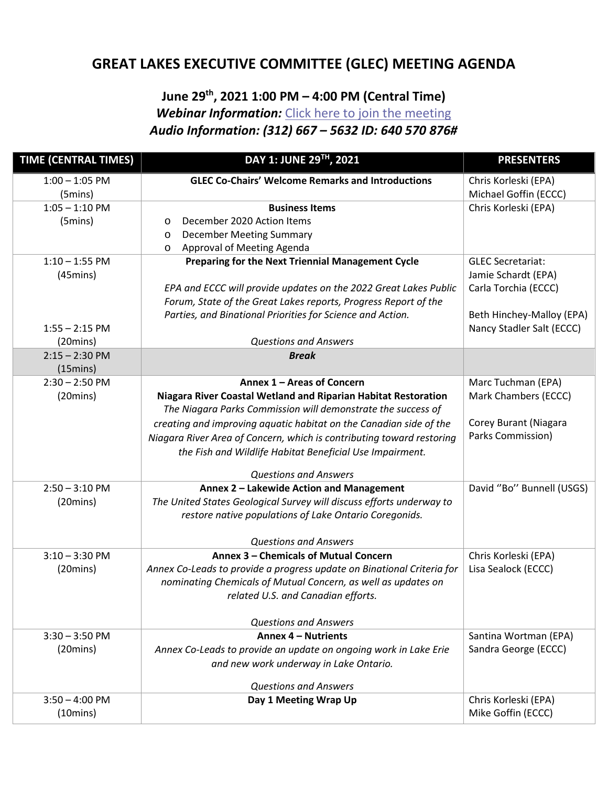## **GREAT LAKES EXECUTIVE COMMITTEE (GLEC) MEETING AGENDA**

## **June 29th, 2021 1:00 PM – 4:00 PM (Central Time)**

*Webinar Information:* [Click here to join the meeting](https://teams.microsoft.com/l/meetup-join/19%3ameeting_MDBmNDE4YjUtNTE1ZC00MDJjLWE1ZmUtMTVhNTZiOTkzNGZi%40thread.v2/0?context=%7b%22Tid%22%3a%2288b378b3-6748-4867-acf9-76aacbeca6a7%22%2c%22Oid%22%3a%22f619ed86-62d5-44c4-9a4b-d85b7abbb90b%22%7d)

*Audio Information: (312) 667 – 5632 ID: 640 570 876#* 

| <b>TIME (CENTRAL TIMES)</b>   | DAY 1: JUNE 29TH, 2021                                                 | <b>PRESENTERS</b>         |
|-------------------------------|------------------------------------------------------------------------|---------------------------|
| $1:00 - 1:05$ PM              | <b>GLEC Co-Chairs' Welcome Remarks and Introductions</b>               | Chris Korleski (EPA)      |
| (5mins)                       |                                                                        | Michael Goffin (ECCC)     |
| $1:05 - 1:10$ PM              | <b>Business Items</b>                                                  | Chris Korleski (EPA)      |
| $(5 \text{mins})$             | December 2020 Action Items<br>$\circ$                                  |                           |
|                               | <b>December Meeting Summary</b><br>$\circ$                             |                           |
|                               | Approval of Meeting Agenda<br>$\circ$                                  |                           |
| $1:10 - 1:55$ PM              | Preparing for the Next Triennial Management Cycle                      | <b>GLEC Secretariat:</b>  |
| $(45 \text{mins})$            |                                                                        | Jamie Schardt (EPA)       |
|                               | EPA and ECCC will provide updates on the 2022 Great Lakes Public       | Carla Torchia (ECCC)      |
|                               | Forum, State of the Great Lakes reports, Progress Report of the        |                           |
|                               | Parties, and Binational Priorities for Science and Action.             | Beth Hinchey-Malloy (EPA) |
| $1:55 - 2:15$ PM<br>(20 mins) | <b>Questions and Answers</b>                                           | Nancy Stadler Salt (ECCC) |
| $2:15 - 2:30$ PM              | <b>Break</b>                                                           |                           |
| $(15 \text{mins})$            |                                                                        |                           |
| $2:30 - 2:50$ PM              | Annex 1 - Areas of Concern                                             | Marc Tuchman (EPA)        |
| (20 mins)                     | Niagara River Coastal Wetland and Riparian Habitat Restoration         | Mark Chambers (ECCC)      |
|                               | The Niagara Parks Commission will demonstrate the success of           |                           |
|                               | creating and improving aquatic habitat on the Canadian side of the     | Corey Burant (Niagara     |
|                               | Niagara River Area of Concern, which is contributing toward restoring  | Parks Commission)         |
|                               | the Fish and Wildlife Habitat Beneficial Use Impairment.               |                           |
|                               | <b>Questions and Answers</b>                                           |                           |
| $2:50 - 3:10$ PM              | Annex 2 - Lakewide Action and Management                               | David "Bo" Bunnell (USGS) |
| (20 mins)                     | The United States Geological Survey will discuss efforts underway to   |                           |
|                               | restore native populations of Lake Ontario Coregonids.                 |                           |
|                               | <b>Questions and Answers</b>                                           |                           |
| $3:10 - 3:30$ PM              | Annex 3 - Chemicals of Mutual Concern                                  | Chris Korleski (EPA)      |
| (20 mins)                     | Annex Co-Leads to provide a progress update on Binational Criteria for | Lisa Sealock (ECCC)       |
|                               | nominating Chemicals of Mutual Concern, as well as updates on          |                           |
|                               | related U.S. and Canadian efforts.                                     |                           |
|                               | <b>Questions and Answers</b>                                           |                           |
| $3:30 - 3:50$ PM              | Annex 4 - Nutrients                                                    | Santina Wortman (EPA)     |
| (20 mins)                     | Annex Co-Leads to provide an update on ongoing work in Lake Erie       | Sandra George (ECCC)      |
|                               | and new work underway in Lake Ontario.                                 |                           |
|                               | <b>Questions and Answers</b>                                           |                           |
| $3:50 - 4:00$ PM              | Day 1 Meeting Wrap Up                                                  | Chris Korleski (EPA)      |
| $(10 \text{mins})$            |                                                                        | Mike Goffin (ECCC)        |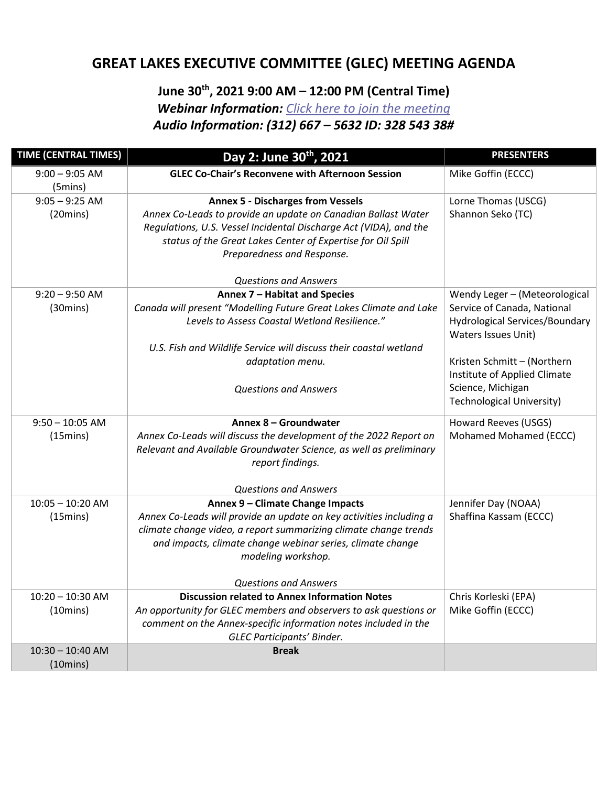## **GREAT LAKES EXECUTIVE COMMITTEE (GLEC) MEETING AGENDA**

## **June 30th, 2021 9:00 AM – 12:00 PM (Central Time)**  *Webinar Information: [Click here to join the meeting](https://teams.microsoft.com/l/meetup-join/19%3ameeting_MmZhMWZjOTYtMjM4Yy00ZDQzLTg4ZTEtZWQ3YmUzMzk3N2Jh%40thread.v2/0?context=%7b%22Tid%22%3a%2288b378b3-6748-4867-acf9-76aacbeca6a7%22%2c%22Oid%22%3a%22f619ed86-62d5-44c4-9a4b-d85b7abbb90b%22%7d) Audio Information: (312) 667 – 5632 ID: 328 543 38#*

| <b>TIME (CENTRAL TIMES)</b> | Day 2: June 30 <sup>th</sup> , 2021                                                                                                                                                                                             | <b>PRESENTERS</b>                                                                    |
|-----------------------------|---------------------------------------------------------------------------------------------------------------------------------------------------------------------------------------------------------------------------------|--------------------------------------------------------------------------------------|
| $9:00 - 9:05$ AM<br>(5mins) | <b>GLEC Co-Chair's Reconvene with Afternoon Session</b>                                                                                                                                                                         | Mike Goffin (ECCC)                                                                   |
| $9:05 - 9:25$ AM            | <b>Annex 5 - Discharges from Vessels</b>                                                                                                                                                                                        | Lorne Thomas (USCG)                                                                  |
| (20 mins)                   | Annex Co-Leads to provide an update on Canadian Ballast Water<br>Regulations, U.S. Vessel Incidental Discharge Act (VIDA), and the<br>status of the Great Lakes Center of Expertise for Oil Spill<br>Preparedness and Response. | Shannon Seko (TC)                                                                    |
|                             | <b>Questions and Answers</b>                                                                                                                                                                                                    |                                                                                      |
| $9:20 - 9:50$ AM            | Annex 7 - Habitat and Species                                                                                                                                                                                                   | Wendy Leger - (Meteorological                                                        |
| (30 mins)                   | Canada will present "Modelling Future Great Lakes Climate and Lake<br>Levels to Assess Coastal Wetland Resilience."                                                                                                             | Service of Canada, National<br>Hydrological Services/Boundary<br>Waters Issues Unit) |
|                             | U.S. Fish and Wildlife Service will discuss their coastal wetland                                                                                                                                                               |                                                                                      |
|                             | adaptation menu.                                                                                                                                                                                                                | Kristen Schmitt - (Northern<br>Institute of Applied Climate                          |
|                             | <b>Questions and Answers</b>                                                                                                                                                                                                    | Science, Michigan<br><b>Technological University)</b>                                |
| $9:50 - 10:05$ AM           | Annex 8 - Groundwater                                                                                                                                                                                                           | Howard Reeves (USGS)                                                                 |
| $(15 \text{mins})$          | Annex Co-Leads will discuss the development of the 2022 Report on                                                                                                                                                               | Mohamed Mohamed (ECCC)                                                               |
|                             | Relevant and Available Groundwater Science, as well as preliminary<br>report findings.                                                                                                                                          |                                                                                      |
|                             | <b>Questions and Answers</b>                                                                                                                                                                                                    |                                                                                      |
| $10:05 - 10:20$ AM          | Annex 9 - Climate Change Impacts                                                                                                                                                                                                | Jennifer Day (NOAA)                                                                  |
| $(15 \text{mins})$          | Annex Co-Leads will provide an update on key activities including a                                                                                                                                                             | Shaffina Kassam (ECCC)                                                               |
|                             | climate change video, a report summarizing climate change trends                                                                                                                                                                |                                                                                      |
|                             | and impacts, climate change webinar series, climate change<br>modeling workshop.                                                                                                                                                |                                                                                      |
|                             | <b>Questions and Answers</b>                                                                                                                                                                                                    |                                                                                      |
| $10:20 - 10:30$ AM          | <b>Discussion related to Annex Information Notes</b>                                                                                                                                                                            | Chris Korleski (EPA)                                                                 |
| $(10 \text{mins})$          | An opportunity for GLEC members and observers to ask questions or                                                                                                                                                               | Mike Goffin (ECCC)                                                                   |
|                             | comment on the Annex-specific information notes included in the<br>GLEC Participants' Binder.                                                                                                                                   |                                                                                      |
| $10:30 - 10:40$ AM          | <b>Break</b>                                                                                                                                                                                                                    |                                                                                      |
| $(10 \text{mins})$          |                                                                                                                                                                                                                                 |                                                                                      |